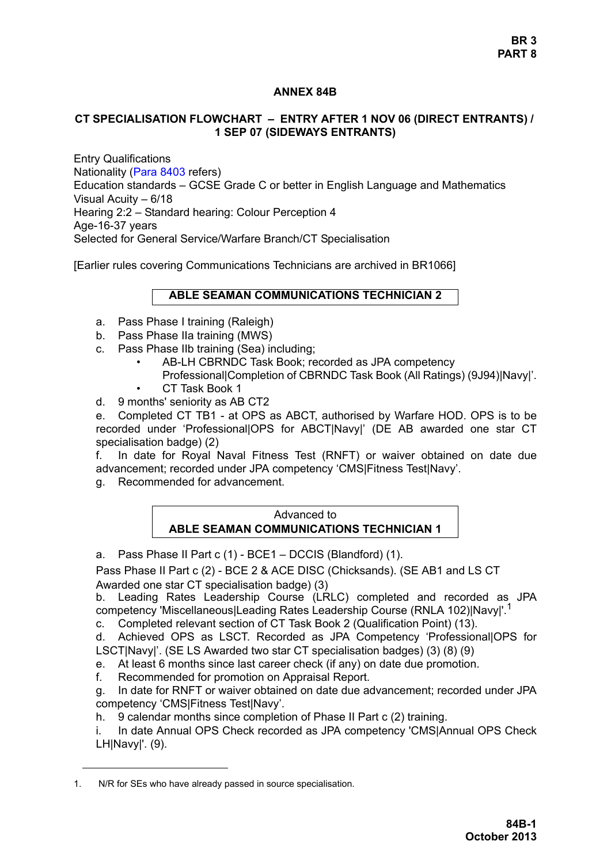# **ANNEX 84B**

### **CT SPECIALISATION FLOWCHART – ENTRY AFTER 1 NOV 06 (DIRECT ENTRANTS) / 1 SEP 07 (SIDEWAYS ENTRANTS)**

Entry Qualifications Nationality (Para 8403 refers) Education standards – GCSE Grade C or better in English Language and Mathematics Visual Acuity – 6/18 Hearing 2:2 – Standard hearing: Colour Perception 4 Age-16-37 years Selected for General Service/Warfare Branch/CT Specialisation

[Earlier rules covering Communications Technicians are archived in BR1066]

#### **ABLE SEAMAN COMMUNICATIONS TECHNICIAN 2**

- a. Pass Phase I training (Raleigh)
- b. Pass Phase IIa training (MWS)
- c. Pass Phase IIb training (Sea) including;
	- AB-LH CBRNDC Task Book; recorded as JPA competency
	- Professional|Completion of CBRNDC Task Book (All Ratings) (9J94)|Navy|'.
	- CT Task Book 1
- d. 9 months' seniority as AB CT2

e. Completed CT TB1 - at OPS as ABCT, authorised by Warfare HOD. OPS is to be recorded under 'Professional|OPS for ABCT|Navy|' (DE AB awarded one star CT specialisation badge) (2)

f. In date for Royal Naval Fitness Test (RNFT) or waiver obtained on date due advancement; recorded under JPA competency 'CMSIFitness TestINavy'.

g. Recommended for advancement.

### Advanced to **ABLE SEAMAN COMMUNICATIONS TECHNICIAN 1**

a. Pass Phase II Part c (1) - BCE1 – DCCIS (Blandford) (1).

Pass Phase II Part c (2) - BCE 2 & ACE DISC (Chicksands). (SE AB1 and LS CT Awarded one star CT specialisation badge) (3)

b. Leading Rates Leadership Course (LRLC) completed and recorded as JPA competency 'Miscellaneous|Leading Rates Leadership Course (RNLA 102)|Navy|'.<sup>1</sup>

c. Completed relevant section of CT Task Book 2 (Qualification Point) (13).

d. Achieved OPS as LSCT. Recorded as JPA Competency 'Professional|OPS for LSCT|Navy|'. (SE LS Awarded two star CT specialisation badges) (3) (8) (9)

- e. At least 6 months since last career check (if any) on date due promotion.
- f. Recommended for promotion on Appraisal Report.

g. In date for RNFT or waiver obtained on date due advancement; recorded under JPA competency 'CMS|Fitness Test|Navy'.

h. 9 calendar months since completion of Phase II Part c (2) training.

i. In date Annual OPS Check recorded as JPA competency 'CMS|Annual OPS Check LH|Navy|'. (9).

<sup>1.</sup> N/R for SEs who have already passed in source specialisation.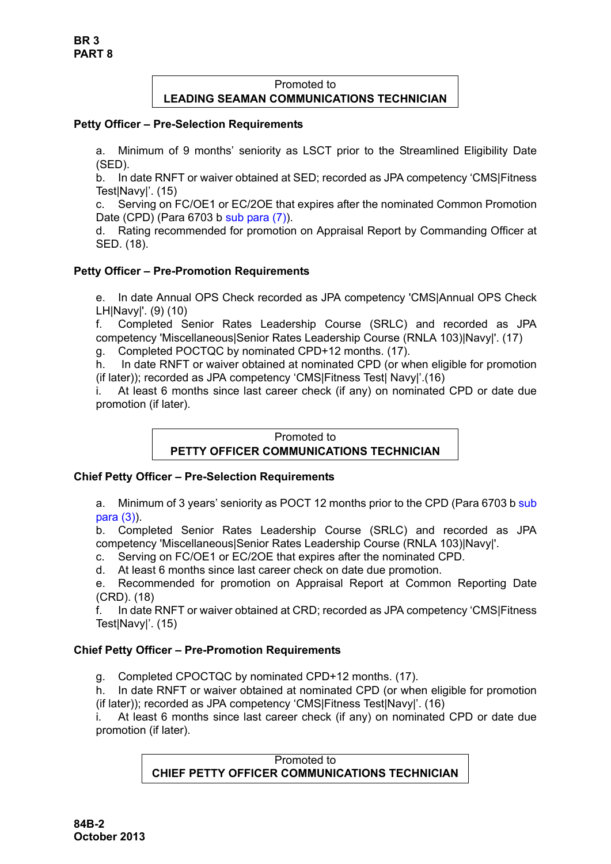# Promoted to **LEADING SEAMAN COMMUNICATIONS TECHNICIAN**

# **Petty Officer – Pre-Selection Requirements**

a. Minimum of 9 months' seniority as LSCT prior to the Streamlined Eligibility Date (SED).

b. In date RNFT or waiver obtained at SED; recorded as JPA competency 'CMS|Fitness Test|Navy|'. (15)

c. Serving on FC/OE1 or EC/2OE that expires after the nominated Common Promotion Date (CPD) (Para 6703 b sub para (7)).

d. Rating recommended for promotion on Appraisal Report by Commanding Officer at SED. (18).

# **Petty Officer – Pre-Promotion Requirements**

e. In date Annual OPS Check recorded as JPA competency 'CMS|Annual OPS Check LH|Navy|'. (9) (10)

f. Completed Senior Rates Leadership Course (SRLC) and recorded as JPA competency 'Miscellaneous|Senior Rates Leadership Course (RNLA 103)|Navy|'. (17)

g. Completed POCTQC by nominated CPD+12 months. (17).

h. In date RNFT or waiver obtained at nominated CPD (or when eligible for promotion (if later)); recorded as JPA competency 'CMS|Fitness Test| Navy|'.(16)

i. At least 6 months since last career check (if any) on nominated CPD or date due promotion (if later).

# Promoted to **PETTY OFFICER COMMUNICATIONS TECHNICIAN**

# **Chief Petty Officer – Pre-Selection Requirements**

a. Minimum of 3 years' seniority as POCT 12 months prior to the CPD (Para 6703 b sub para (3)).

b. Completed Senior Rates Leadership Course (SRLC) and recorded as JPA competency 'Miscellaneous|Senior Rates Leadership Course (RNLA 103)|Navy|'.

- c. Serving on FC/OE1 or EC/2OE that expires after the nominated CPD.
- d. At least 6 months since last career check on date due promotion.
- e. Recommended for promotion on Appraisal Report at Common Reporting Date (CRD). (18)

f. In date RNFT or waiver obtained at CRD; recorded as JPA competency 'CMS|Fitness Test|Navy|'. (15)

# **Chief Petty Officer – Pre-Promotion Requirements**

g. Completed CPOCTQC by nominated CPD+12 months. (17).

h. In date RNFT or waiver obtained at nominated CPD (or when eligible for promotion (if later)); recorded as JPA competency 'CMS|Fitness Test|Navy|'. (16)

i. At least 6 months since last career check (if any) on nominated CPD or date due promotion (if later).

> Promoted to **CHIEF PETTY OFFICER COMMUNICATIONS TECHNICIAN**

**84B-2 October 2013**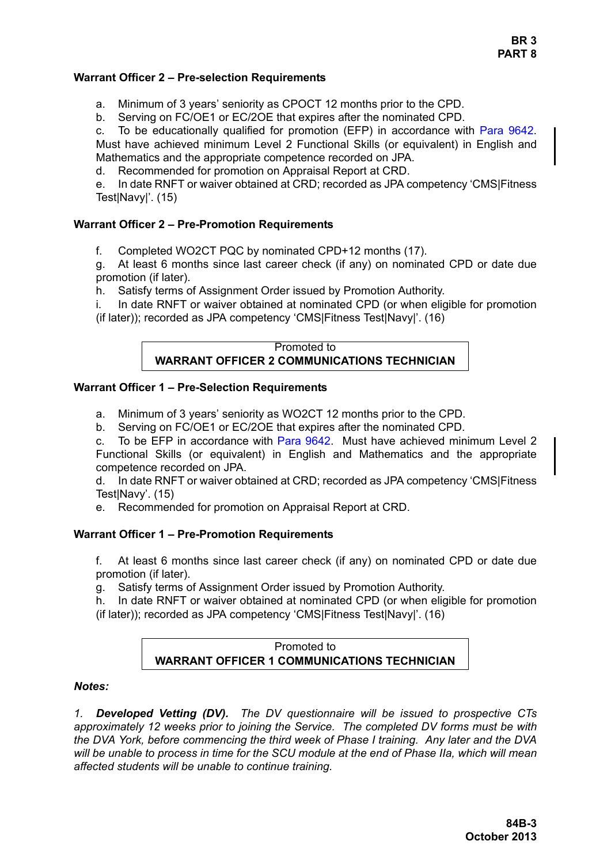# **BR 3 PART 8**

### **Warrant Officer 2 – Pre-selection Requirements**

- a. Minimum of 3 years' seniority as CPOCT 12 months prior to the CPD.
- b. Serving on FC/OE1 or EC/2OE that expires after the nominated CPD.

c. To be educationally qualified for promotion (EFP) in accordance with [Para 9642.](#page-35-0) Must have achieved minimum Level 2 Functional Skills (or equivalent) in English and Mathematics and the appropriate competence recorded on JPA.

d. Recommended for promotion on Appraisal Report at CRD.

e. In date RNFT or waiver obtained at CRD; recorded as JPA competency 'CMS|Fitness Test|Navy|'. (15)

# **Warrant Officer 2 – Pre-Promotion Requirements**

f. Completed WO2CT PQC by nominated CPD+12 months (17).

g. At least 6 months since last career check (if any) on nominated CPD or date due promotion (if later).

h. Satisfy terms of Assignment Order issued by Promotion Authority.

i. In date RNFT or waiver obtained at nominated CPD (or when eligible for promotion (if later)); recorded as JPA competency 'CMS|Fitness Test|Navy|'. (16)

#### Promoted to **WARRANT OFFICER 2 COMMUNICATIONS TECHNICIAN**

# **Warrant Officer 1 – Pre-Selection Requirements**

- a. Minimum of 3 years' seniority as WO2CT 12 months prior to the CPD.
- b. Serving on FC/OE1 or EC/2OE that expires after the nominated CPD.

c. To be EFP in accordance wit[h Para 9642.](#page-35-0) Must have achieved minimum Level 2 Functional Skills (or equivalent) in English and Mathematics and the appropriate competence recorded on JPA.

d. In date RNFT or waiver obtained at CRD; recorded as JPA competency 'CMS|Fitness TestINavy'. (15)

e. Recommended for promotion on Appraisal Report at CRD.

# **Warrant Officer 1 – Pre-Promotion Requirements**

f. At least 6 months since last career check (if any) on nominated CPD or date due promotion (if later).

g. Satisfy terms of Assignment Order issued by Promotion Authority.

h. In date RNFT or waiver obtained at nominated CPD (or when eligible for promotion (if later)); recorded as JPA competency 'CMS|Fitness Test|Navy|'. (16)

# Promoted to **WARRANT OFFICER 1 COMMUNICATIONS TECHNICIAN**

#### *Notes:*

*1. Developed Vetting (DV). The DV questionnaire will be issued to prospective CTs approximately 12 weeks prior to joining the Service. The completed DV forms must be with the DVA York, before commencing the third week of Phase I training. Any later and the DVA will be unable to process in time for the SCU module at the end of Phase IIa, which will mean affected students will be unable to continue training.*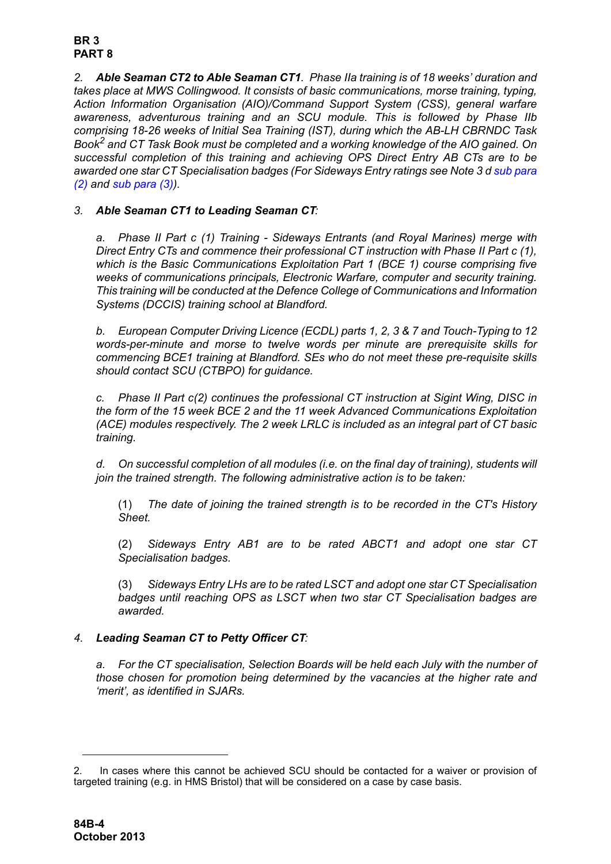#### **BR 3 PART 8**

*2. Able Seaman CT2 to Able Seaman CT1. Phase IIa training is of 18 weeks' duration and takes place at MWS Collingwood. It consists of basic communications, morse training, typing, Action Information Organisation (AIO)/Command Support System (CSS), general warfare awareness, adventurous training and an SCU module. This is followed by Phase IIb comprising 18-26 weeks of Initial Sea Training (IST), during which the AB-LH CBRNDC Task Book2 and CT Task Book must be completed and a working knowledge of the AIO gained. On successful completion of this training and achieving OPS Direct Entry AB CTs are to be awarded one star CT Specialisation badges (For Sideways Entry ratings see [Note 3](#page-3-0) [d](#page-3-1) [sub para](#page-3-2) [\(2\)](#page-3-2) and [sub para \(3\)\)](#page-3-3).*

# <span id="page-3-0"></span>*3. Able Seaman CT1 to Leading Seaman CT:*

*a. Phase II Part c (1) Training - Sideways Entrants (and Royal Marines) merge with Direct Entry CTs and commence their professional CT instruction with Phase II Part c (1), which is the Basic Communications Exploitation Part 1 (BCE 1) course comprising five weeks of communications principals, Electronic Warfare, computer and security training. This training will be conducted at the Defence College of Communications and Information Systems (DCCIS) training school at Blandford.*

*b. European Computer Driving Licence (ECDL) parts 1, 2, 3 & 7 and Touch-Typing to 12 words-per-minute and morse to twelve words per minute are prerequisite skills for commencing BCE1 training at Blandford. SEs who do not meet these pre-requisite skills should contact SCU (CTBPO) for guidance.* 

*c. Phase II Part c(2) continues the professional CT instruction at Sigint Wing, DISC in the form of the 15 week BCE 2 and the 11 week Advanced Communications Exploitation (ACE) modules respectively. The 2 week LRLC is included as an integral part of CT basic training.* 

<span id="page-3-1"></span>*d. On successful completion of all modules (i.e. on the final day of training), students will join the trained strength. The following administrative action is to be taken:*

(1) *The date of joining the trained strength is to be recorded in the CT's History Sheet.*

<span id="page-3-2"></span>(2) *Sideways Entry AB1 are to be rated ABCT1 and adopt one star CT Specialisation badges.*

<span id="page-3-3"></span>(3) *Sideways Entry LHs are to be rated LSCT and adopt one star CT Specialisation badges until reaching OPS as LSCT when two star CT Specialisation badges are awarded.*

# *4. Leading Seaman CT to Petty Officer CT:*

*a. For the CT specialisation, Selection Boards will be held each July with the number of those chosen for promotion being determined by the vacancies at the higher rate and 'merit', as identified in SJARs.* 

<sup>2.</sup> In cases where this cannot be achieved SCU should be contacted for a waiver or provision of targeted training (e.g. in HMS Bristol) that will be considered on a case by case basis.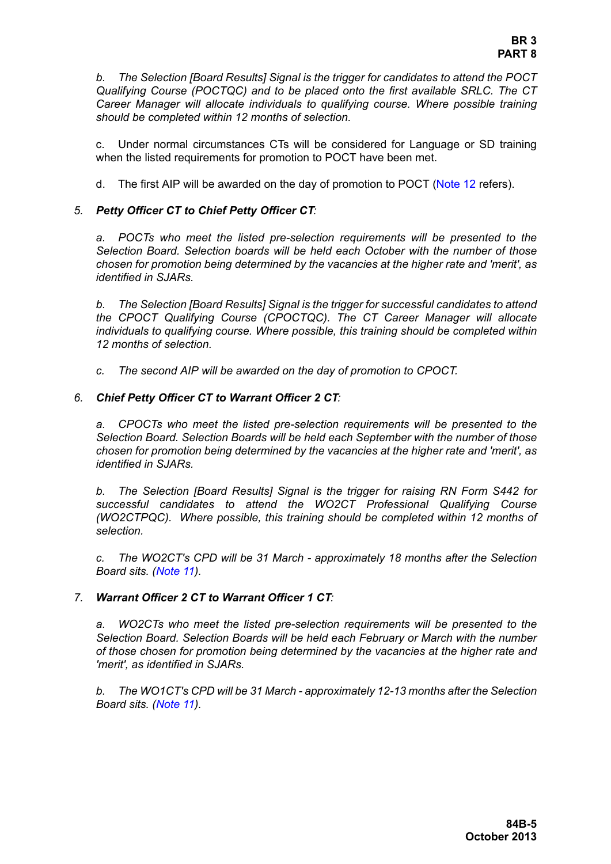*b. The Selection [Board Results] Signal is the trigger for candidates to attend the POCT Qualifying Course (POCTQC) and to be placed onto the first available SRLC. The CT Career Manager will allocate individuals to qualifying course. Where possible training should be completed within 12 months of selection.* 

c. Under normal circumstances CTs will be considered for Language or SD training when the listed requirements for promotion to POCT have been met.

d. The first AIP will be awarded on the day of promotion to POCT [\(Note 12](#page-7-0) refers).

#### *5. Petty Officer CT to Chief Petty Officer CT:*

*a. POCTs who meet the listed pre-selection requirements will be presented to the Selection Board. Selection boards will be held each October with the number of those chosen for promotion being determined by the vacancies at the higher rate and 'merit', as identified in SJARs.* 

*b. The Selection [Board Results] Signal is the trigger for successful candidates to attend the CPOCT Qualifying Course (CPOCTQC). The CT Career Manager will allocate individuals to qualifying course. Where possible, this training should be completed within 12 months of selection.* 

*c. The second AIP will be awarded on the day of promotion to CPOCT.* 

#### *6. Chief Petty Officer CT to Warrant Officer 2 CT:*

*a. CPOCTs who meet the listed pre-selection requirements will be presented to the Selection Board. Selection Boards will be held each September with the number of those chosen for promotion being determined by the vacancies at the higher rate and 'merit', as identified in SJARs.* 

*b. The Selection [Board Results] Signal is the trigger for raising RN Form S442 for successful candidates to attend the WO2CT Professional Qualifying Course (WO2CTPQC). Where possible, this training should be completed within 12 months of selection.* 

*c. The WO2CT's CPD will be 31 March - approximately 18 months after the Selection Board sits. ([Note 11\)](#page-6-0).*

#### *7. Warrant Officer 2 CT to Warrant Officer 1 CT:*

*a. WO2CTs who meet the listed pre-selection requirements will be presented to the Selection Board. Selection Boards will be held each February or March with the number of those chosen for promotion being determined by the vacancies at the higher rate and 'merit', as identified in SJARs.* 

*b. The WO1CT's CPD will be 31 March - approximately 12-13 months after the Selection Board sits. ([Note 11\)](#page-6-0).*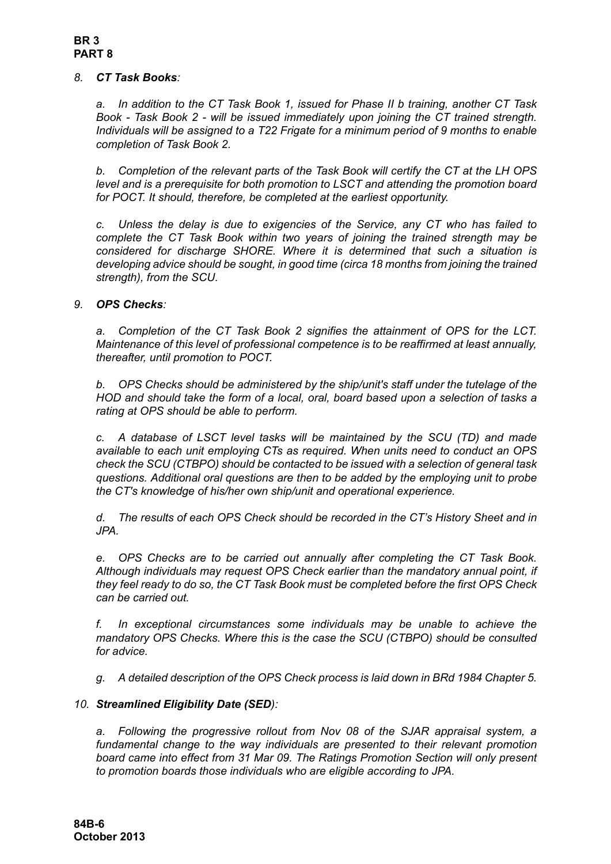### *8. CT Task Books:*

*a. In addition to the CT Task Book 1, issued for Phase II b training, another CT Task Book - Task Book 2 - will be issued immediately upon joining the CT trained strength. Individuals will be assigned to a T22 Frigate for a minimum period of 9 months to enable completion of Task Book 2.*

*b. Completion of the relevant parts of the Task Book will certify the CT at the LH OPS level and is a prerequisite for both promotion to LSCT and attending the promotion board for POCT. It should, therefore, be completed at the earliest opportunity.*

*c. Unless the delay is due to exigencies of the Service, any CT who has failed to complete the CT Task Book within two years of joining the trained strength may be considered for discharge SHORE. Where it is determined that such a situation is developing advice should be sought, in good time (circa 18 months from joining the trained strength), from the SCU.*

### *9. OPS Checks:*

*a. Completion of the CT Task Book 2 signifies the attainment of OPS for the LCT. Maintenance of this level of professional competence is to be reaffirmed at least annually, thereafter, until promotion to POCT.*

*b. OPS Checks should be administered by the ship/unit's staff under the tutelage of the HOD and should take the form of a local, oral, board based upon a selection of tasks a rating at OPS should be able to perform.* 

*c. A database of LSCT level tasks will be maintained by the SCU (TD) and made available to each unit employing CTs as required. When units need to conduct an OPS check the SCU (CTBPO) should be contacted to be issued with a selection of general task questions. Additional oral questions are then to be added by the employing unit to probe the CT's knowledge of his/her own ship/unit and operational experience.*

*d. The results of each OPS Check should be recorded in the CT's History Sheet and in JPA.*

*e. OPS Checks are to be carried out annually after completing the CT Task Book. Although individuals may request OPS Check earlier than the mandatory annual point, if they feel ready to do so, the CT Task Book must be completed before the first OPS Check can be carried out.*

*f. In exceptional circumstances some individuals may be unable to achieve the mandatory OPS Checks. Where this is the case the SCU (CTBPO) should be consulted for advice.* 

*g. A detailed description of the OPS Check process is laid down in BRd 1984 Chapter 5.*

# *10. Streamlined Eligibility Date (SED):*

*a. Following the progressive rollout from Nov 08 of the SJAR appraisal system, a fundamental change to the way individuals are presented to their relevant promotion board came into effect from 31 Mar 09. The Ratings Promotion Section will only present to promotion boards those individuals who are eligible according to JPA.*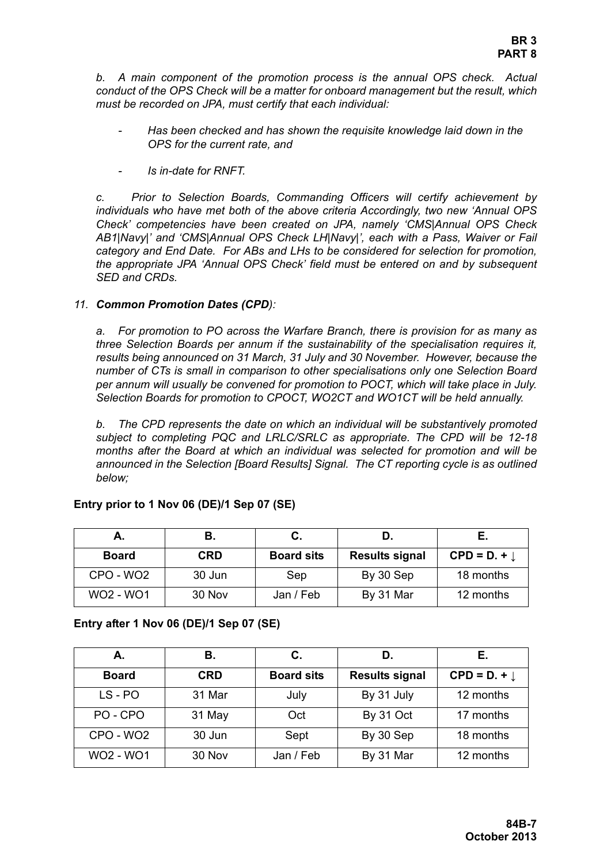*b. A main component of the promotion process is the annual OPS check. Actual conduct of the OPS Check will be a matter for onboard management but the result, which must be recorded on JPA, must certify that each individual:*

- *Has been checked and has shown the requisite knowledge laid down in the OPS for the current rate, and*
- *Is in-date for RNFT.*

*c. Prior to Selection Boards, Commanding Officers will certify achievement by individuals who have met both of the above criteria Accordingly, two new 'Annual OPS Check' competencies have been created on JPA, namely 'CMS|Annual OPS Check AB1|Navy|' and 'CMS|Annual OPS Check LH|Navy|', each with a Pass, Waiver or Fail category and End Date. For ABs and LHs to be considered for selection for promotion, the appropriate JPA 'Annual OPS Check' field must be entered on and by subsequent SED and CRDs.* 

#### <span id="page-6-0"></span>*11. Common Promotion Dates (CPD):*

*a. For promotion to PO across the Warfare Branch, there is provision for as many as three Selection Boards per annum if the sustainability of the specialisation requires it, results being announced on 31 March, 31 July and 30 November. However, because the number of CTs is small in comparison to other specialisations only one Selection Board per annum will usually be convened for promotion to POCT, which will take place in July. Selection Boards for promotion to CPOCT, WO2CT and WO1CT will be held annually.*

*b. The CPD represents the date on which an individual will be substantively promoted subject to completing PQC and LRLC/SRLC as appropriate. The CPD will be 12-18 months after the Board at which an individual was selected for promotion and will be announced in the Selection [Board Results] Signal. The CT reporting cycle is as outlined below;*

| А.                                | В.     |                   |                       | Е.                      |
|-----------------------------------|--------|-------------------|-----------------------|-------------------------|
| <b>Board</b>                      | CRD    | <b>Board sits</b> | <b>Results signal</b> | $CPD = D. + \downarrow$ |
| CPO - WO <sub>2</sub>             | 30 Jun | Sep               | By 30 Sep             | 18 months               |
| WO <sub>2</sub> - WO <sub>1</sub> | 30 Nov | Jan / Feb         | By 31 Mar             | 12 months               |

#### **Entry prior to 1 Nov 06 (DE)/1 Sep 07 (SE)**

#### **Entry after 1 Nov 06 (DE)/1 Sep 07 (SE)**

| А.               | В.         | С.                | D.                    | Е.                      |
|------------------|------------|-------------------|-----------------------|-------------------------|
| <b>Board</b>     | <b>CRD</b> | <b>Board sits</b> | <b>Results signal</b> | $CPD = D. + \downarrow$ |
| $LS - PO$        | 31 Mar     | July              | By 31 July            | 12 months               |
| PO-CPO           | 31 May     | Oct               | By 31 Oct             | 17 months               |
| CPO - WO2        | 30 Jun     | Sept              | By 30 Sep             | 18 months               |
| <b>WO2 - WO1</b> | 30 Nov     | Jan / Feb         | By 31 Mar             | 12 months               |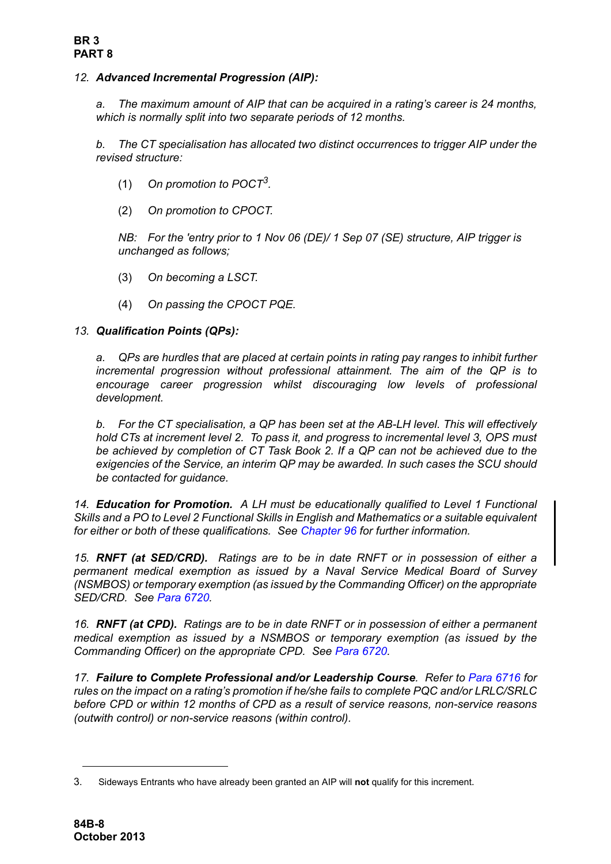# <span id="page-7-0"></span>*12. Advanced Incremental Progression (AIP):*

*a. The maximum amount of AIP that can be acquired in a rating's career is 24 months, which is normally split into two separate periods of 12 months.* 

*b. The CT specialisation has allocated two distinct occurrences to trigger AIP under the revised structure:*

- (1) *On promotion to POCT3.*
- (2) *On promotion to CPOCT.*

*NB: For the 'entry prior to 1 Nov 06 (DE)/ 1 Sep 07 (SE) structure, AIP trigger is unchanged as follows;*

- (3) *On becoming a LSCT.*
- (4) *On passing the CPOCT PQE.*

### *13. Qualification Points (QPs):*

*a. QPs are hurdles that are placed at certain points in rating pay ranges to inhibit further incremental progression without professional attainment. The aim of the QP is to encourage career progression whilst discouraging low levels of professional development.* 

*b. For the CT specialisation, a QP has been set at the AB-LH level. This will effectively hold CTs at increment level 2. To pass it, and progress to incremental level 3, OPS must be achieved by completion of CT Task Book 2. If a QP can not be achieved due to the exigencies of the Service, an interim QP may be awarded. In such cases the SCU should be contacted for guidance.*

*14. Education for Promotion. A LH must be educationally qualified to Level 1 Functional Skills and a PO to Level 2 Functional Skills in English and Mathematics or a suitable equivalent for either or both of these qualifications. See Chapter 96 for further information.* 

*15. RNFT (at SED/CRD). Ratings are to be in date RNFT or in possession of either a permanent medical exemption as issued by a Naval Service Medical Board of Survey (NSMBOS) or temporary exemption (as issued by the Commanding Officer) on the appropriate SED/CRD. See Para 6720.*

*16. RNFT (at CPD). Ratings are to be in date RNFT or in possession of either a permanent medical exemption as issued by a NSMBOS or temporary exemption (as issued by the Commanding Officer) on the appropriate CPD. See Para 6720.* 

*17. Failure to Complete Professional and/or Leadership Course. Refer to Para 6716 for rules on the impact on a rating's promotion if he/she fails to complete PQC and/or LRLC/SRLC before CPD or within 12 months of CPD as a result of service reasons, non-service reasons (outwith control) or non-service reasons (within control).*

<sup>3.</sup> Sideways Entrants who have already been granted an AIP will **not** qualify for this increment.